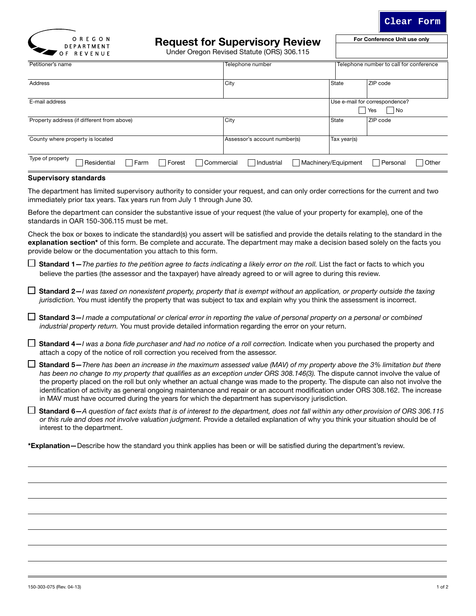

For Conference Unit use only

**Clear Form**

Under Oregon Revised Statute (ORS) 306.115

| - - -<br>.                                                               |                              |                                         |                                             |  |
|--------------------------------------------------------------------------|------------------------------|-----------------------------------------|---------------------------------------------|--|
| Petitioner's name                                                        | Telephone number             | Telephone number to call for conference |                                             |  |
| <b>Address</b>                                                           | City                         | State                                   | ZIP code                                    |  |
| E-mail address                                                           |                              |                                         | Use e-mail for correspondence?<br>No<br>Yes |  |
| Property address (if different from above)                               | City                         | State                                   | ZIP code                                    |  |
| County where property is located                                         | Assessor's account number(s) | Tax year(s)                             |                                             |  |
| Type of property<br>$\sqcap$ Farm<br>Forest<br>Residential<br>Commercial | Industrial                   | Machinery/Equipment                     | Other<br>Personal                           |  |

## **Supervisory standards**

The department has limited supervisory authority to consider your request, and can only order corrections for the current and two immediately prior tax years. Tax years run from July 1 through June 30.

Before the department can consider the substantive issue of your request (the value of your property for example), one of the standards in OAR 150-306.115 must be met.

Check the box or boxes to indicate the standard(s) you assert will be satisfied and provide the details relating to the standard in the explanation section<sup>\*</sup> of this form. Be complete and accurate. The department may make a decision based solely on the facts you provide below or the documentation you attach to this form.

 $\Box$  Standard 1–*The parties to the petition agree to facts indicating a likely error on the roll.* List the fact or facts to which you believe the parties (the assessor and the taxpayer) have already agreed to or will agree to during this review.

 Standard 2—*I was taxed on nonexistent property, property that is exempt without an application, or property outside the taxing jurisdiction.* You must identify the property that was subject to tax and explain why you think the assessment is incorrect.

 Standard 3—*I made a computational or clerical error in reporting the value of personal property on a personal or combined industrial property return.* You must provide detailed information regarding the error on your return.

□ Standard 4–*I was a bona fide purchaser and had no notice of a roll correction.* Indicate when you purchased the property and attach a copy of the notice of roll correction you received from the assessor.

 Standard 5—*There has been an increase in the maximum assessed value (MAV) of my property above the 3% limitation but there*  has been no change to my property that qualifies as an exception under ORS 308.146(3). The dispute cannot involve the value of the property placed on the roll but only whether an actual change was made to the property. The dispute can also not involve the identification of activity as general ongoing maintenance and repair or an account modification under ORS 308.162. The increase in MAV must have occurred during the years for which the department has supervisory jurisdiction.

 Standard 6—*A question of fact exists that is of interest to the department, does not fall within any other provision of ORS 306.115 or this rule and does not involve valuation judgment.* Provide a detailed explanation of why you think your situation should be of interest to the department.

\*Explanation—Describe how the standard you think applies has been or will be satisfied during the department's review.